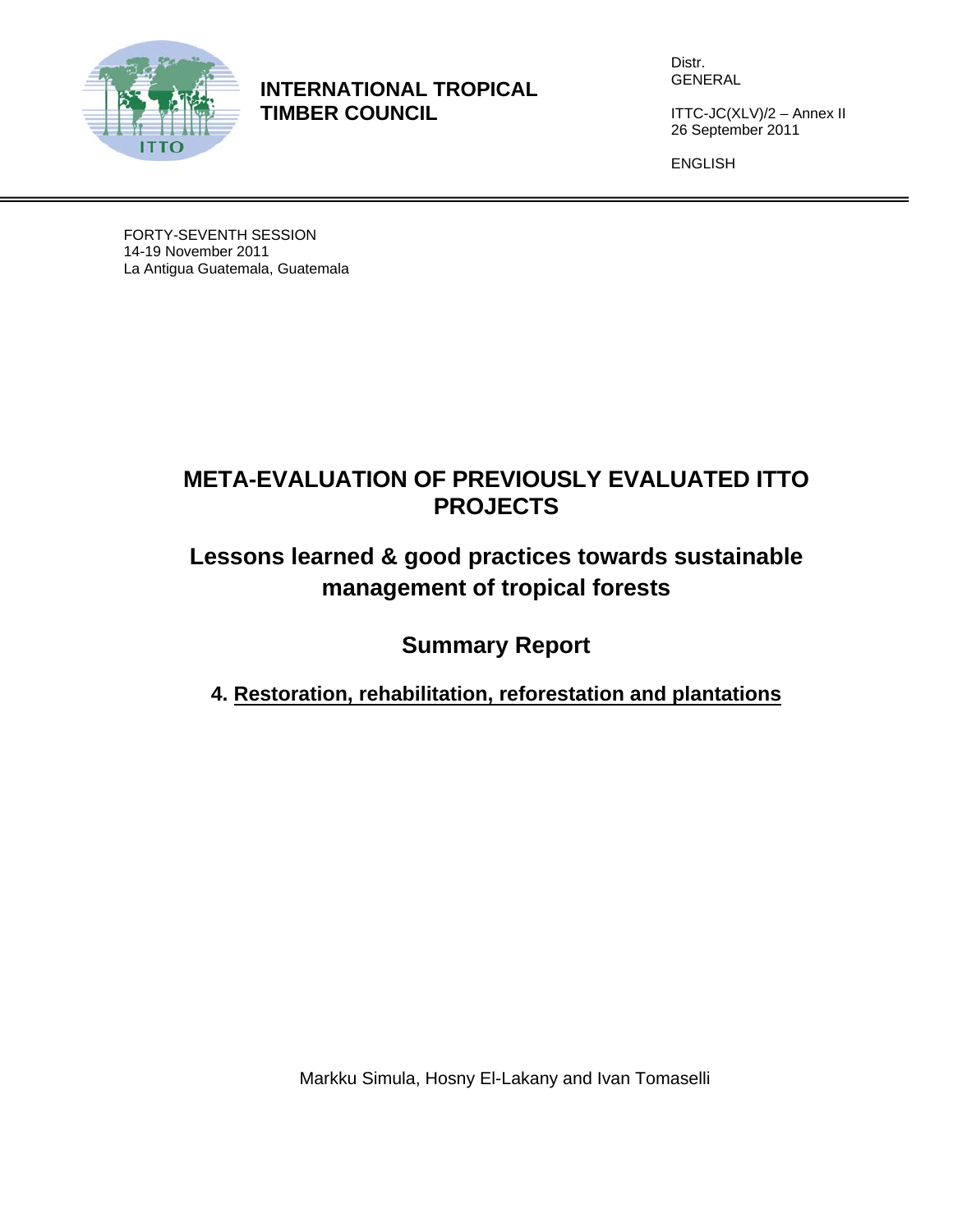

**INTERNATIONAL TROPICAL TIMBER COUNCIL** 

Distr. GENERAL

ITTC-JC(XLV)/2 – Annex II 26 September 2011

ENGLISH

FORTY-SEVENTH SESSION 14-19 November 2011 La Antigua Guatemala, Guatemala

# **META-EVALUATION OF PREVIOUSLY EVALUATED ITTO PROJECTS**

# **Lessons learned & good practices towards sustainable management of tropical forests**

**Summary Report** 

**4. Restoration, rehabilitation, reforestation and plantations**

Markku Simula, Hosny El-Lakany and Ivan Tomaselli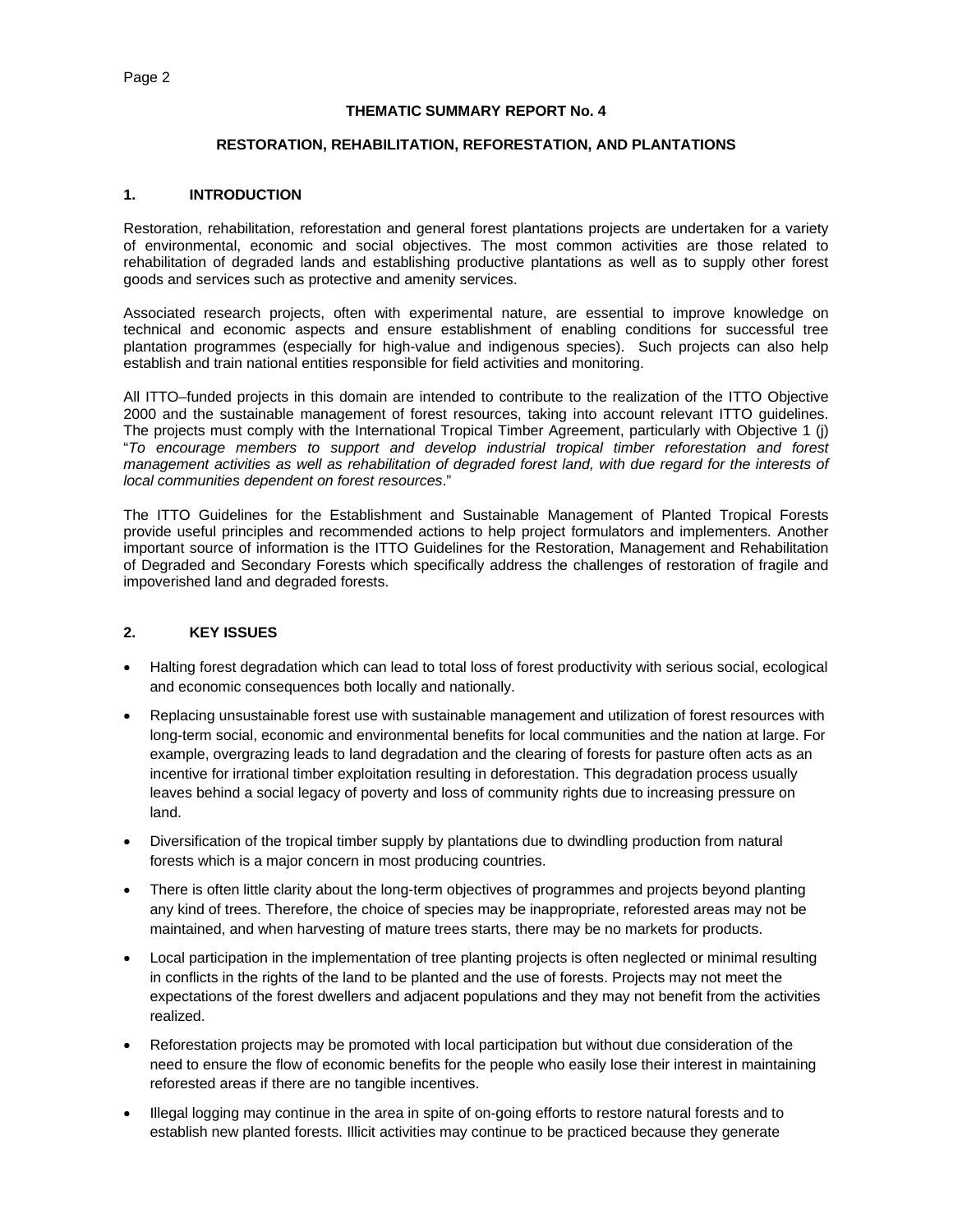#### **THEMATIC SUMMARY REPORT No. 4**

#### **RESTORATION, REHABILITATION, REFORESTATION, AND PLANTATIONS**

#### **1. INTRODUCTION**

Restoration, rehabilitation, reforestation and general forest plantations projects are undertaken for a variety of environmental, economic and social objectives. The most common activities are those related to rehabilitation of degraded lands and establishing productive plantations as well as to supply other forest goods and services such as protective and amenity services.

Associated research projects, often with experimental nature, are essential to improve knowledge on technical and economic aspects and ensure establishment of enabling conditions for successful tree plantation programmes (especially for high-value and indigenous species). Such projects can also help establish and train national entities responsible for field activities and monitoring.

All ITTO–funded projects in this domain are intended to contribute to the realization of the ITTO Objective 2000 and the sustainable management of forest resources, taking into account relevant ITTO guidelines. The projects must comply with the International Tropical Timber Agreement, particularly with Objective 1 (j) "*To encourage members to support and develop industrial tropical timber reforestation and forest management activities as well as rehabilitation of degraded forest land, with due regard for the interests of local communities dependent on forest resources*."

The ITTO Guidelines for the Establishment and Sustainable Management of Planted Tropical Forests provide useful principles and recommended actions to help project formulators and implementers*.* Another important source of information is the ITTO Guidelines for the Restoration, Management and Rehabilitation of Degraded and Secondary Forests which specifically address the challenges of restoration of fragile and impoverished land and degraded forests.

## **2. KEY ISSUES**

- Halting forest degradation which can lead to total loss of forest productivity with serious social, ecological and economic consequences both locally and nationally.
- Replacing unsustainable forest use with sustainable management and utilization of forest resources with long-term social, economic and environmental benefits for local communities and the nation at large. For example, overgrazing leads to land degradation and the clearing of forests for pasture often acts as an incentive for irrational timber exploitation resulting in deforestation. This degradation process usually leaves behind a social legacy of poverty and loss of community rights due to increasing pressure on land.
- Diversification of the tropical timber supply by plantations due to dwindling production from natural forests which is a major concern in most producing countries.
- There is often little clarity about the long-term objectives of programmes and projects beyond planting any kind of trees. Therefore, the choice of species may be inappropriate, reforested areas may not be maintained, and when harvesting of mature trees starts, there may be no markets for products.
- Local participation in the implementation of tree planting projects is often neglected or minimal resulting in conflicts in the rights of the land to be planted and the use of forests. Projects may not meet the expectations of the forest dwellers and adjacent populations and they may not benefit from the activities realized.
- Reforestation projects may be promoted with local participation but without due consideration of the need to ensure the flow of economic benefits for the people who easily lose their interest in maintaining reforested areas if there are no tangible incentives.
- Illegal logging may continue in the area in spite of on-going efforts to restore natural forests and to establish new planted forests. Illicit activities may continue to be practiced because they generate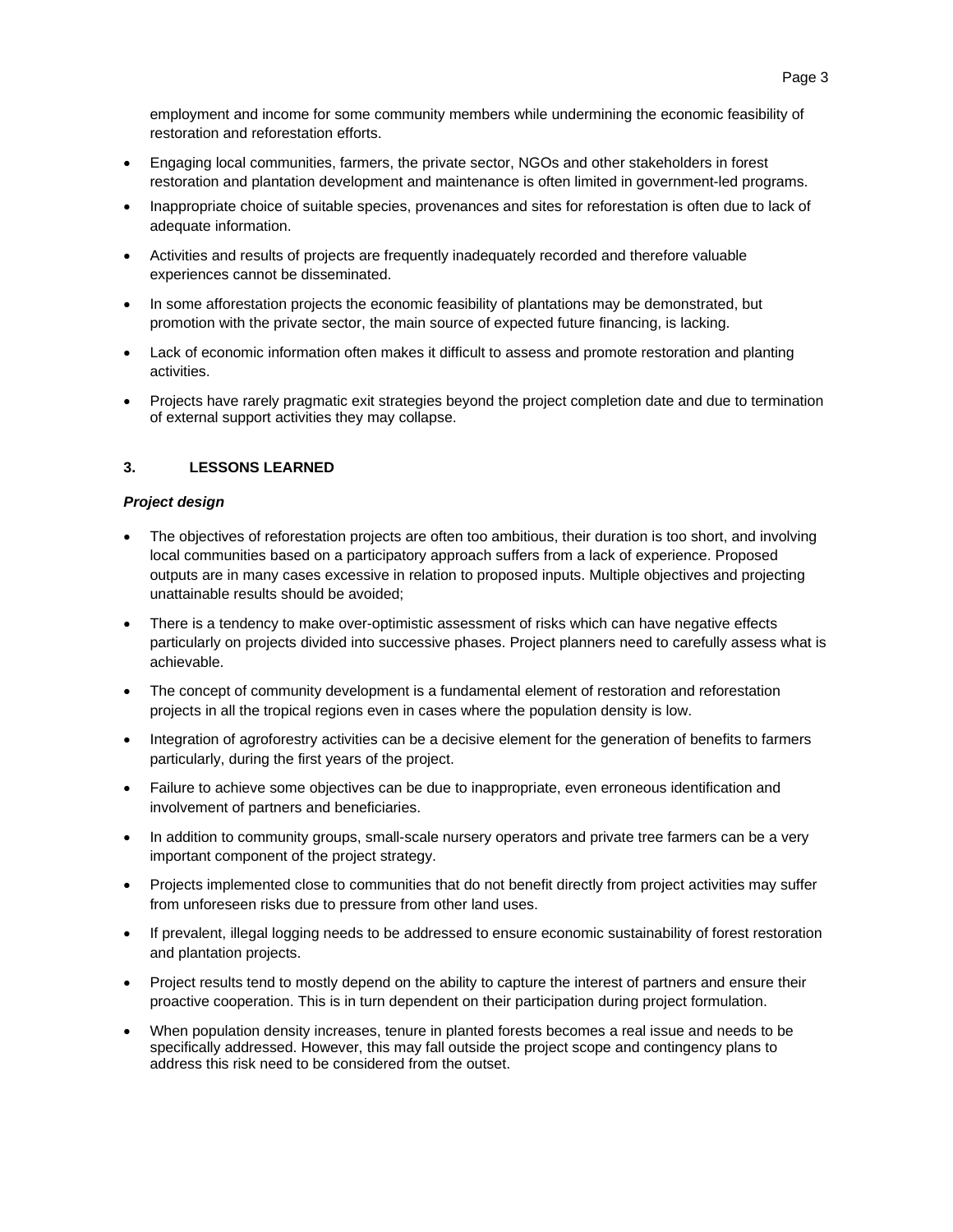employment and income for some community members while undermining the economic feasibility of restoration and reforestation efforts.

- Engaging local communities, farmers, the private sector, NGOs and other stakeholders in forest restoration and plantation development and maintenance is often limited in government-led programs.
- Inappropriate choice of suitable species, provenances and sites for reforestation is often due to lack of adequate information.
- Activities and results of projects are frequently inadequately recorded and therefore valuable experiences cannot be disseminated.
- In some afforestation projects the economic feasibility of plantations may be demonstrated, but promotion with the private sector, the main source of expected future financing, is lacking.
- Lack of economic information often makes it difficult to assess and promote restoration and planting activities.
- Projects have rarely pragmatic exit strategies beyond the project completion date and due to termination of external support activities they may collapse.

## **3. LESSONS LEARNED**

#### *Project design*

- The objectives of reforestation projects are often too ambitious, their duration is too short, and involving local communities based on a participatory approach suffers from a lack of experience. Proposed outputs are in many cases excessive in relation to proposed inputs. Multiple objectives and projecting unattainable results should be avoided;
- There is a tendency to make over-optimistic assessment of risks which can have negative effects particularly on projects divided into successive phases. Project planners need to carefully assess what is achievable.
- The concept of community development is a fundamental element of restoration and reforestation projects in all the tropical regions even in cases where the population density is low.
- Integration of agroforestry activities can be a decisive element for the generation of benefits to farmers particularly, during the first years of the project.
- Failure to achieve some objectives can be due to inappropriate, even erroneous identification and involvement of partners and beneficiaries.
- In addition to community groups, small-scale nursery operators and private tree farmers can be a very important component of the project strategy.
- Projects implemented close to communities that do not benefit directly from project activities may suffer from unforeseen risks due to pressure from other land uses.
- If prevalent, illegal logging needs to be addressed to ensure economic sustainability of forest restoration and plantation projects.
- Project results tend to mostly depend on the ability to capture the interest of partners and ensure their proactive cooperation. This is in turn dependent on their participation during project formulation.
- When population density increases, tenure in planted forests becomes a real issue and needs to be specifically addressed. However, this may fall outside the project scope and contingency plans to address this risk need to be considered from the outset.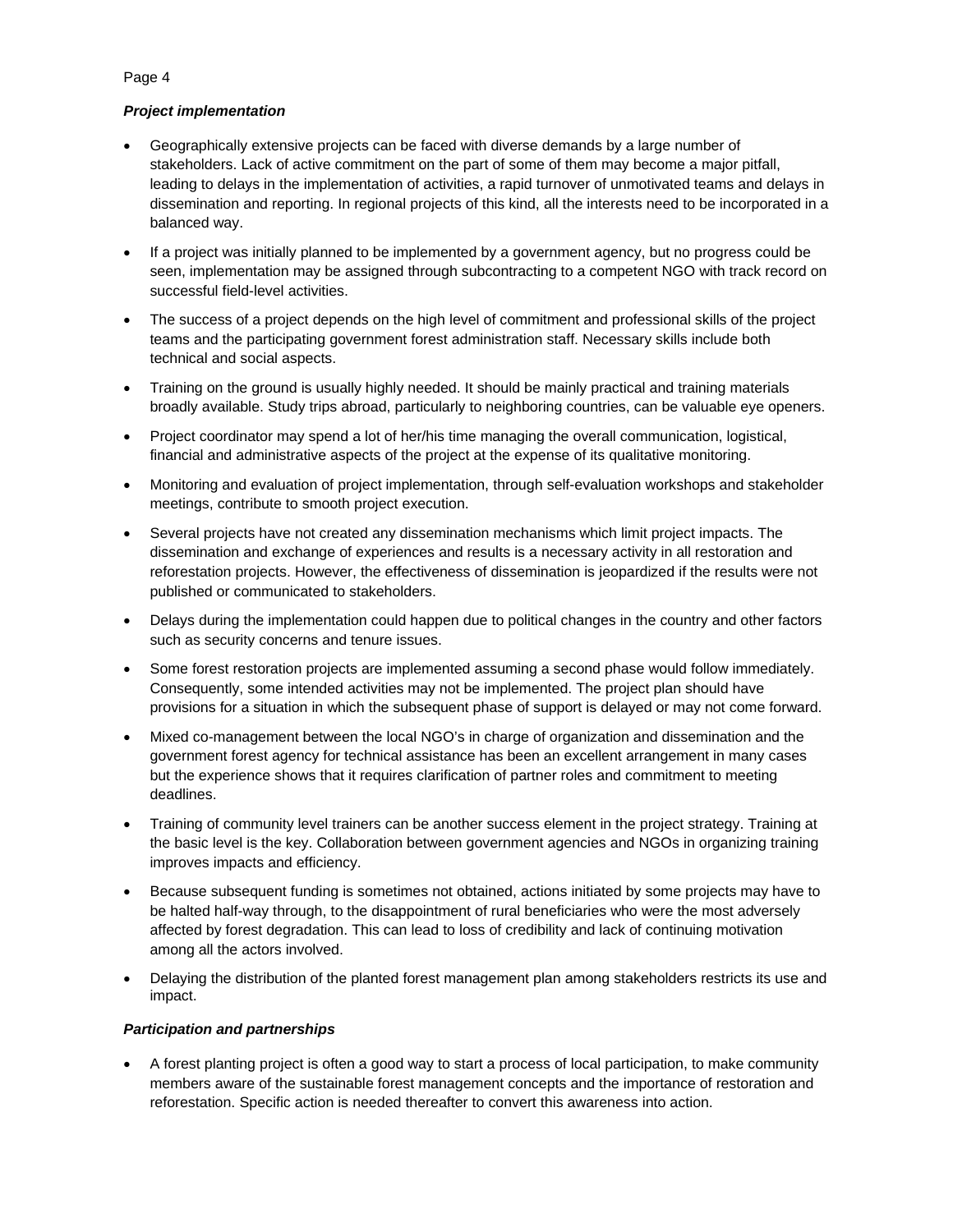# *Project implementation*

- Geographically extensive projects can be faced with diverse demands by a large number of stakeholders. Lack of active commitment on the part of some of them may become a major pitfall, leading to delays in the implementation of activities, a rapid turnover of unmotivated teams and delays in dissemination and reporting. In regional projects of this kind, all the interests need to be incorporated in a balanced way.
- If a project was initially planned to be implemented by a government agency, but no progress could be seen, implementation may be assigned through subcontracting to a competent NGO with track record on successful field-level activities.
- The success of a project depends on the high level of commitment and professional skills of the project teams and the participating government forest administration staff. Necessary skills include both technical and social aspects.
- Training on the ground is usually highly needed. It should be mainly practical and training materials broadly available. Study trips abroad, particularly to neighboring countries, can be valuable eye openers.
- Project coordinator may spend a lot of her/his time managing the overall communication, logistical, financial and administrative aspects of the project at the expense of its qualitative monitoring.
- Monitoring and evaluation of project implementation, through self-evaluation workshops and stakeholder meetings, contribute to smooth project execution.
- Several projects have not created any dissemination mechanisms which limit project impacts. The dissemination and exchange of experiences and results is a necessary activity in all restoration and reforestation projects. However, the effectiveness of dissemination is jeopardized if the results were not published or communicated to stakeholders.
- Delays during the implementation could happen due to political changes in the country and other factors such as security concerns and tenure issues.
- Some forest restoration projects are implemented assuming a second phase would follow immediately. Consequently, some intended activities may not be implemented. The project plan should have provisions for a situation in which the subsequent phase of support is delayed or may not come forward.
- Mixed co-management between the local NGO's in charge of organization and dissemination and the government forest agency for technical assistance has been an excellent arrangement in many cases but the experience shows that it requires clarification of partner roles and commitment to meeting deadlines.
- Training of community level trainers can be another success element in the project strategy. Training at the basic level is the key. Collaboration between government agencies and NGOs in organizing training improves impacts and efficiency.
- Because subsequent funding is sometimes not obtained, actions initiated by some projects may have to be halted half-way through, to the disappointment of rural beneficiaries who were the most adversely affected by forest degradation. This can lead to loss of credibility and lack of continuing motivation among all the actors involved.
- Delaying the distribution of the planted forest management plan among stakeholders restricts its use and impact.

## *Participation and partnerships*

 A forest planting project is often a good way to start a process of local participation, to make community members aware of the sustainable forest management concepts and the importance of restoration and reforestation. Specific action is needed thereafter to convert this awareness into action.

#### Page 4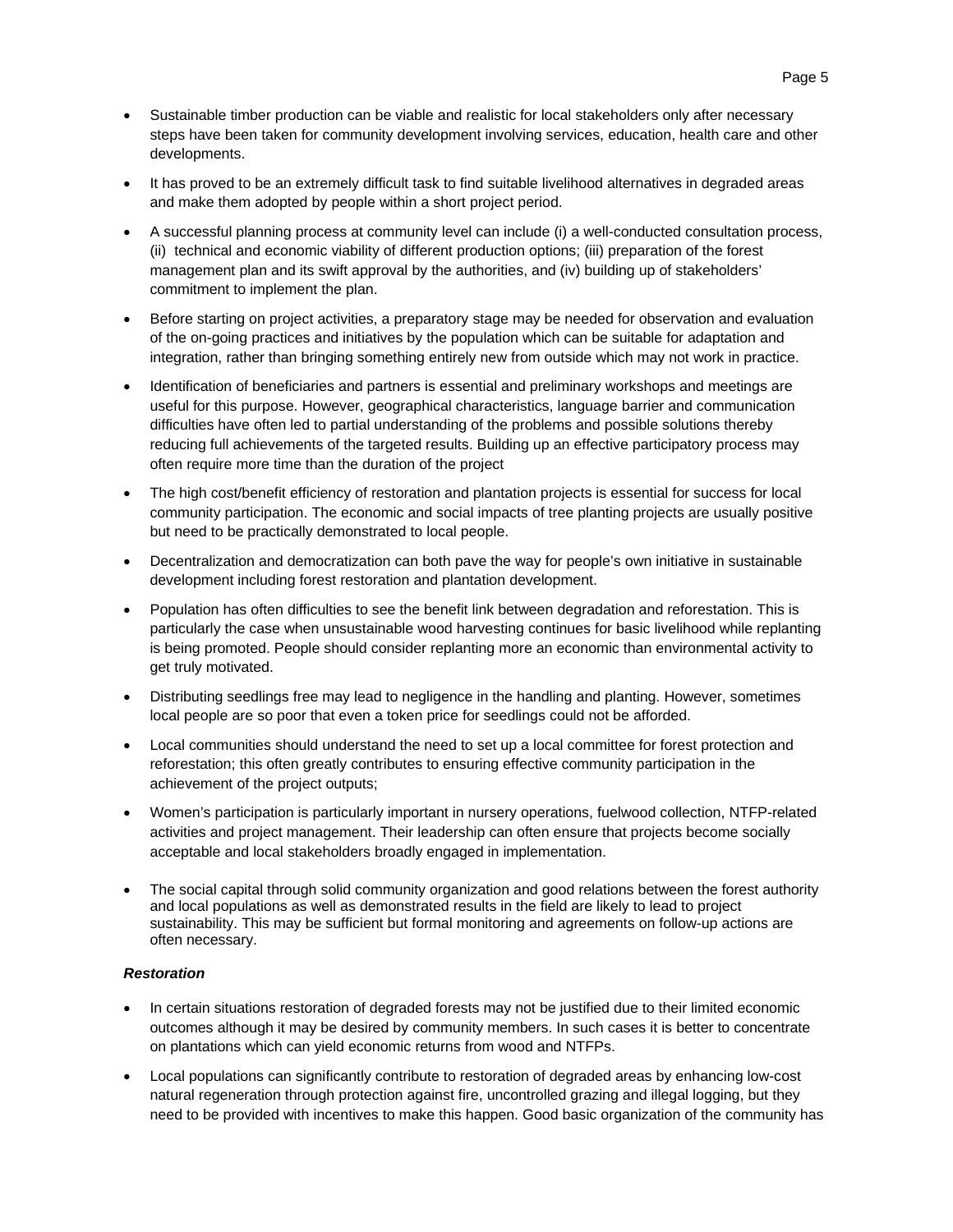- Sustainable timber production can be viable and realistic for local stakeholders only after necessary steps have been taken for community development involving services, education, health care and other developments.
- It has proved to be an extremely difficult task to find suitable livelihood alternatives in degraded areas and make them adopted by people within a short project period.
- A successful planning process at community level can include (i) a well-conducted consultation process, (ii) technical and economic viability of different production options; (iii) preparation of the forest management plan and its swift approval by the authorities, and (iv) building up of stakeholders' commitment to implement the plan.
- Before starting on project activities, a preparatory stage may be needed for observation and evaluation of the on-going practices and initiatives by the population which can be suitable for adaptation and integration, rather than bringing something entirely new from outside which may not work in practice.
- Identification of beneficiaries and partners is essential and preliminary workshops and meetings are useful for this purpose. However, geographical characteristics, language barrier and communication difficulties have often led to partial understanding of the problems and possible solutions thereby reducing full achievements of the targeted results. Building up an effective participatory process may often require more time than the duration of the project
- The high cost/benefit efficiency of restoration and plantation projects is essential for success for local community participation. The economic and social impacts of tree planting projects are usually positive but need to be practically demonstrated to local people.
- Decentralization and democratization can both pave the way for people's own initiative in sustainable development including forest restoration and plantation development.
- Population has often difficulties to see the benefit link between degradation and reforestation. This is particularly the case when unsustainable wood harvesting continues for basic livelihood while replanting is being promoted. People should consider replanting more an economic than environmental activity to get truly motivated.
- Distributing seedlings free may lead to negligence in the handling and planting. However, sometimes local people are so poor that even a token price for seedlings could not be afforded.
- Local communities should understand the need to set up a local committee for forest protection and reforestation; this often greatly contributes to ensuring effective community participation in the achievement of the project outputs;
- Women's participation is particularly important in nursery operations, fuelwood collection, NTFP-related activities and project management. Their leadership can often ensure that projects become socially acceptable and local stakeholders broadly engaged in implementation.
- The social capital through solid community organization and good relations between the forest authority and local populations as well as demonstrated results in the field are likely to lead to project sustainability. This may be sufficient but formal monitoring and agreements on follow-up actions are often necessary.

## *Restoration*

- In certain situations restoration of degraded forests may not be justified due to their limited economic outcomes although it may be desired by community members. In such cases it is better to concentrate on plantations which can yield economic returns from wood and NTFPs.
- Local populations can significantly contribute to restoration of degraded areas by enhancing low-cost natural regeneration through protection against fire, uncontrolled grazing and illegal logging, but they need to be provided with incentives to make this happen. Good basic organization of the community has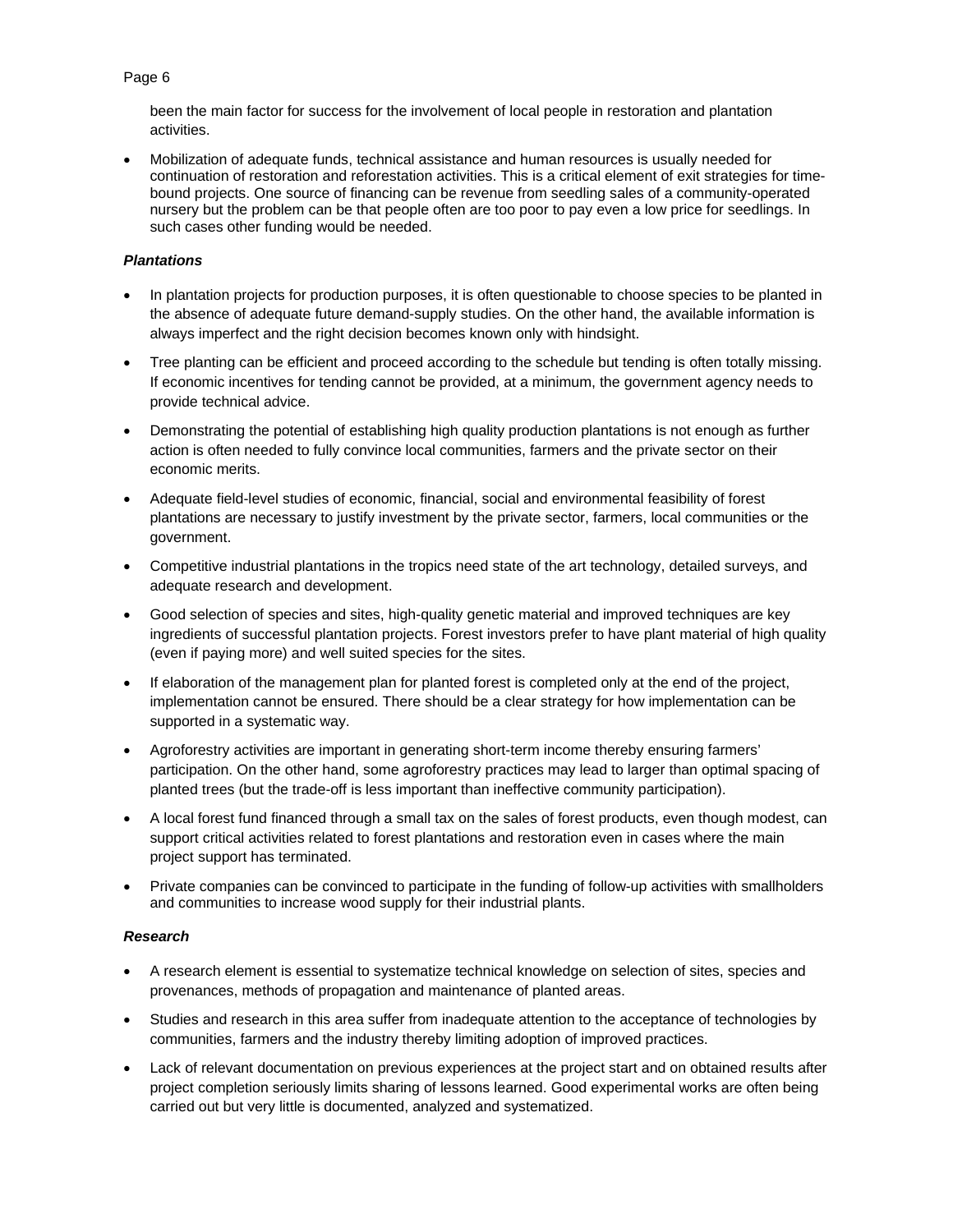## Page 6

been the main factor for success for the involvement of local people in restoration and plantation activities.

 Mobilization of adequate funds, technical assistance and human resources is usually needed for continuation of restoration and reforestation activities. This is a critical element of exit strategies for timebound projects. One source of financing can be revenue from seedling sales of a community-operated nursery but the problem can be that people often are too poor to pay even a low price for seedlings. In such cases other funding would be needed.

# *Plantations*

- In plantation projects for production purposes, it is often questionable to choose species to be planted in the absence of adequate future demand-supply studies. On the other hand, the available information is always imperfect and the right decision becomes known only with hindsight.
- Tree planting can be efficient and proceed according to the schedule but tending is often totally missing. If economic incentives for tending cannot be provided, at a minimum, the government agency needs to provide technical advice.
- Demonstrating the potential of establishing high quality production plantations is not enough as further action is often needed to fully convince local communities, farmers and the private sector on their economic merits.
- Adequate field-level studies of economic, financial, social and environmental feasibility of forest plantations are necessary to justify investment by the private sector, farmers, local communities or the government.
- Competitive industrial plantations in the tropics need state of the art technology, detailed surveys, and adequate research and development.
- Good selection of species and sites, high-quality genetic material and improved techniques are key ingredients of successful plantation projects. Forest investors prefer to have plant material of high quality (even if paying more) and well suited species for the sites.
- If elaboration of the management plan for planted forest is completed only at the end of the project, implementation cannot be ensured. There should be a clear strategy for how implementation can be supported in a systematic way.
- Agroforestry activities are important in generating short-term income thereby ensuring farmers' participation. On the other hand, some agroforestry practices may lead to larger than optimal spacing of planted trees (but the trade-off is less important than ineffective community participation).
- A local forest fund financed through a small tax on the sales of forest products, even though modest, can support critical activities related to forest plantations and restoration even in cases where the main project support has terminated.
- Private companies can be convinced to participate in the funding of follow-up activities with smallholders and communities to increase wood supply for their industrial plants.

## *Research*

- A research element is essential to systematize technical knowledge on selection of sites, species and provenances, methods of propagation and maintenance of planted areas.
- Studies and research in this area suffer from inadequate attention to the acceptance of technologies by communities, farmers and the industry thereby limiting adoption of improved practices.
- Lack of relevant documentation on previous experiences at the project start and on obtained results after project completion seriously limits sharing of lessons learned. Good experimental works are often being carried out but very little is documented, analyzed and systematized.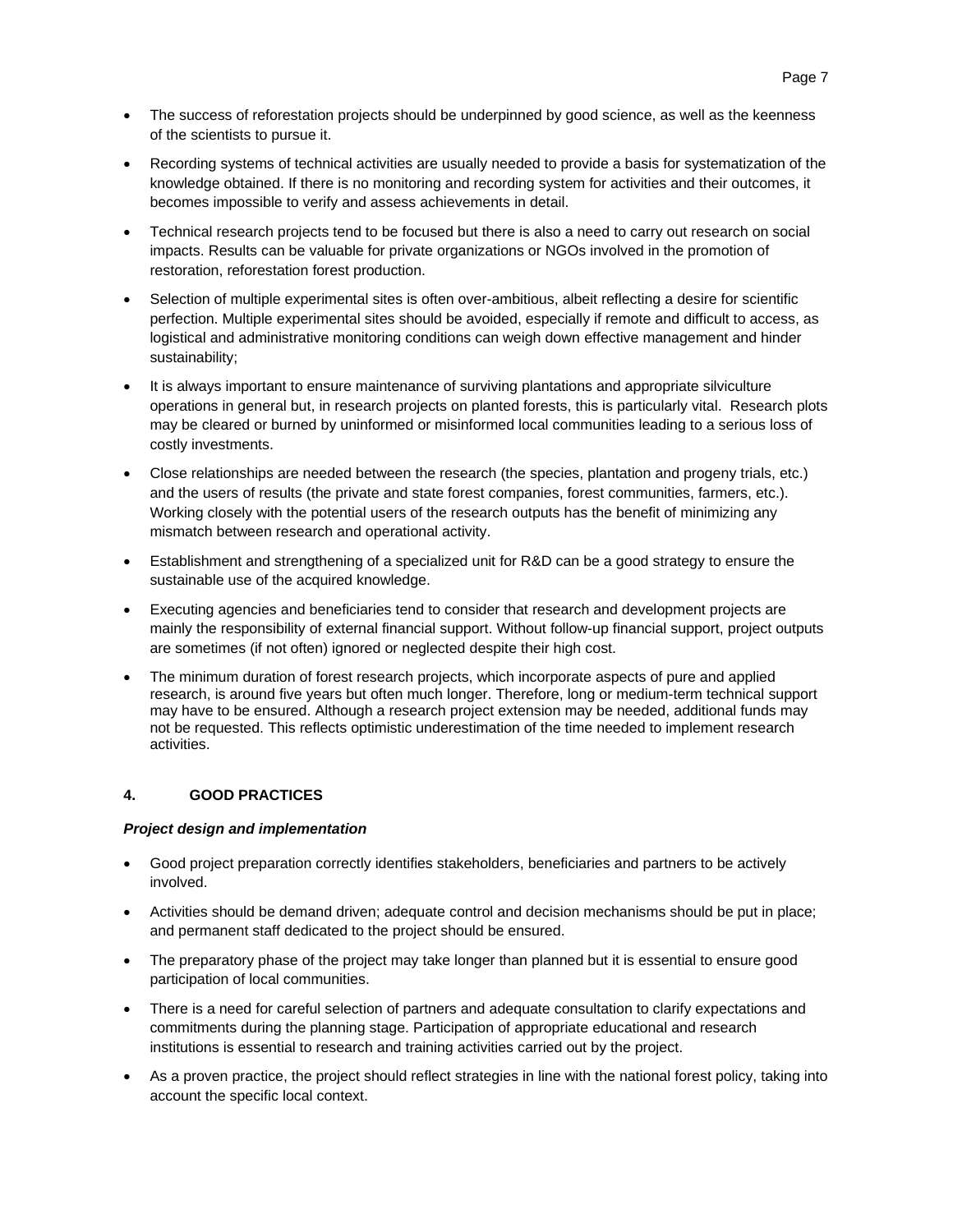- The success of reforestation projects should be underpinned by good science, as well as the keenness of the scientists to pursue it.
- Recording systems of technical activities are usually needed to provide a basis for systematization of the knowledge obtained. If there is no monitoring and recording system for activities and their outcomes, it becomes impossible to verify and assess achievements in detail.
- Technical research projects tend to be focused but there is also a need to carry out research on social impacts. Results can be valuable for private organizations or NGOs involved in the promotion of restoration, reforestation forest production.
- Selection of multiple experimental sites is often over-ambitious, albeit reflecting a desire for scientific perfection. Multiple experimental sites should be avoided, especially if remote and difficult to access, as logistical and administrative monitoring conditions can weigh down effective management and hinder sustainability;
- It is always important to ensure maintenance of surviving plantations and appropriate silviculture operations in general but, in research projects on planted forests, this is particularly vital. Research plots may be cleared or burned by uninformed or misinformed local communities leading to a serious loss of costly investments.
- Close relationships are needed between the research (the species, plantation and progeny trials, etc.) and the users of results (the private and state forest companies, forest communities, farmers, etc.). Working closely with the potential users of the research outputs has the benefit of minimizing any mismatch between research and operational activity.
- Establishment and strengthening of a specialized unit for R&D can be a good strategy to ensure the sustainable use of the acquired knowledge.
- Executing agencies and beneficiaries tend to consider that research and development projects are mainly the responsibility of external financial support. Without follow-up financial support, project outputs are sometimes (if not often) ignored or neglected despite their high cost.
- The minimum duration of forest research projects, which incorporate aspects of pure and applied research, is around five years but often much longer. Therefore, long or medium-term technical support may have to be ensured. Although a research project extension may be needed, additional funds may not be requested. This reflects optimistic underestimation of the time needed to implement research activities.

## **4. GOOD PRACTICES**

## *Project design and implementation*

- Good project preparation correctly identifies stakeholders, beneficiaries and partners to be actively involved.
- Activities should be demand driven; adequate control and decision mechanisms should be put in place; and permanent staff dedicated to the project should be ensured.
- The preparatory phase of the project may take longer than planned but it is essential to ensure good participation of local communities.
- There is a need for careful selection of partners and adequate consultation to clarify expectations and commitments during the planning stage. Participation of appropriate educational and research institutions is essential to research and training activities carried out by the project.
- As a proven practice, the project should reflect strategies in line with the national forest policy, taking into account the specific local context.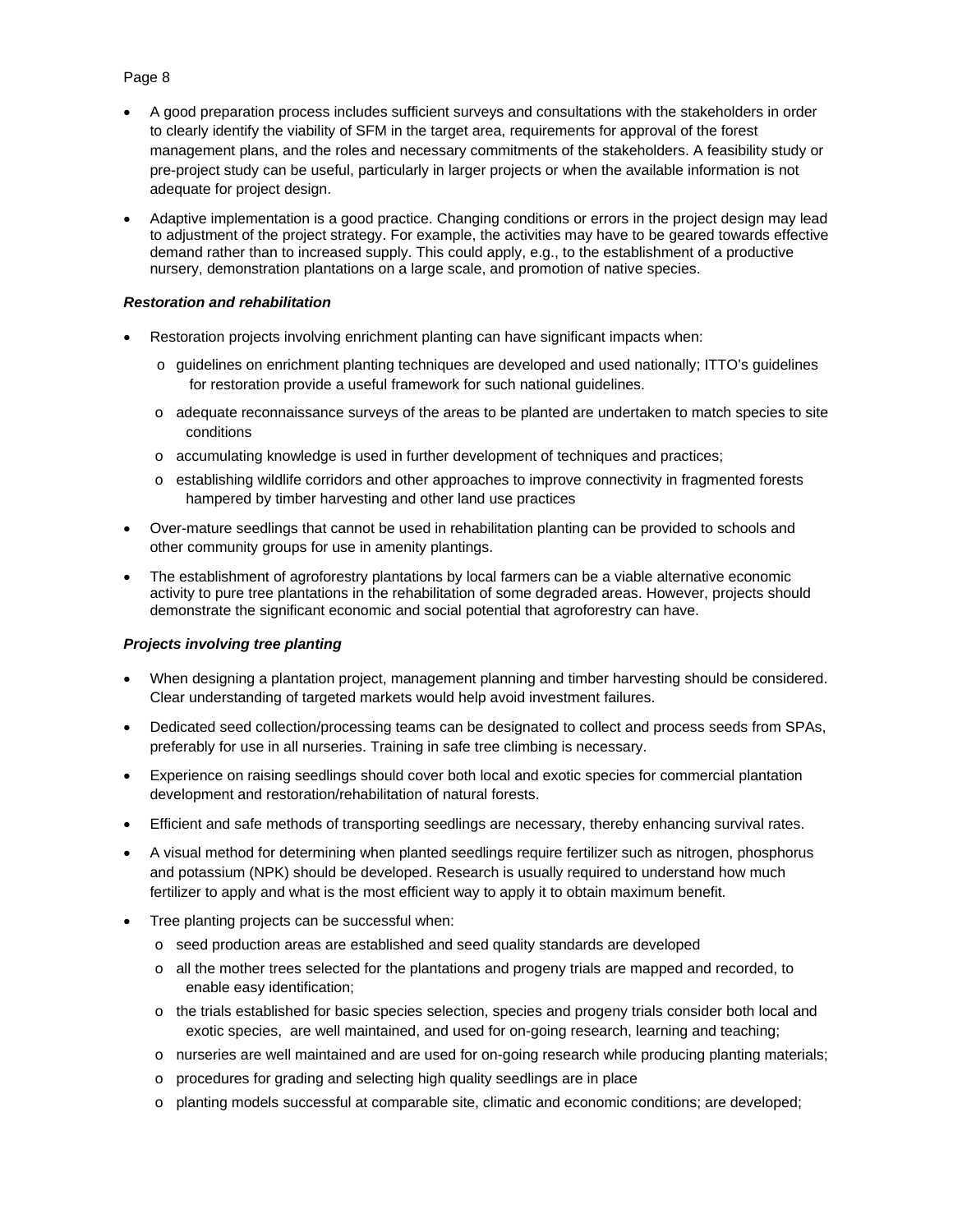# Page 8

- A good preparation process includes sufficient surveys and consultations with the stakeholders in order to clearly identify the viability of SFM in the target area, requirements for approval of the forest management plans, and the roles and necessary commitments of the stakeholders. A feasibility study or pre-project study can be useful, particularly in larger projects or when the available information is not adequate for project design.
- Adaptive implementation is a good practice. Changing conditions or errors in the project design may lead to adjustment of the project strategy. For example, the activities may have to be geared towards effective demand rather than to increased supply. This could apply, e.g., to the establishment of a productive nursery, demonstration plantations on a large scale, and promotion of native species.

#### *Restoration and rehabilitation*

- Restoration projects involving enrichment planting can have significant impacts when:
	- $\circ$  guidelines on enrichment planting techniques are developed and used nationally; ITTO's quidelines for restoration provide a useful framework for such national guidelines.
	- o adequate reconnaissance surveys of the areas to be planted are undertaken to match species to site conditions
	- o accumulating knowledge is used in further development of techniques and practices;
	- o establishing wildlife corridors and other approaches to improve connectivity in fragmented forests hampered by timber harvesting and other land use practices
- Over-mature seedlings that cannot be used in rehabilitation planting can be provided to schools and other community groups for use in amenity plantings.
- The establishment of agroforestry plantations by local farmers can be a viable alternative economic activity to pure tree plantations in the rehabilitation of some degraded areas. However, projects should demonstrate the significant economic and social potential that agroforestry can have.

## *Projects involving tree planting*

- When designing a plantation project, management planning and timber harvesting should be considered. Clear understanding of targeted markets would help avoid investment failures.
- Dedicated seed collection/processing teams can be designated to collect and process seeds from SPAs, preferably for use in all nurseries. Training in safe tree climbing is necessary.
- Experience on raising seedlings should cover both local and exotic species for commercial plantation development and restoration/rehabilitation of natural forests.
- Efficient and safe methods of transporting seedlings are necessary, thereby enhancing survival rates.
- A visual method for determining when planted seedlings require fertilizer such as nitrogen, phosphorus and potassium (NPK) should be developed. Research is usually required to understand how much fertilizer to apply and what is the most efficient way to apply it to obtain maximum benefit.
- Tree planting projects can be successful when:
	- o seed production areas are established and seed quality standards are developed
	- o all the mother trees selected for the plantations and progeny trials are mapped and recorded, to enable easy identification;
	- o the trials established for basic species selection, species and progeny trials consider both local and exotic species, are well maintained, and used for on-going research, learning and teaching;
	- o nurseries are well maintained and are used for on-going research while producing planting materials;
	- o procedures for grading and selecting high quality seedlings are in place
	- o planting models successful at comparable site, climatic and economic conditions; are developed;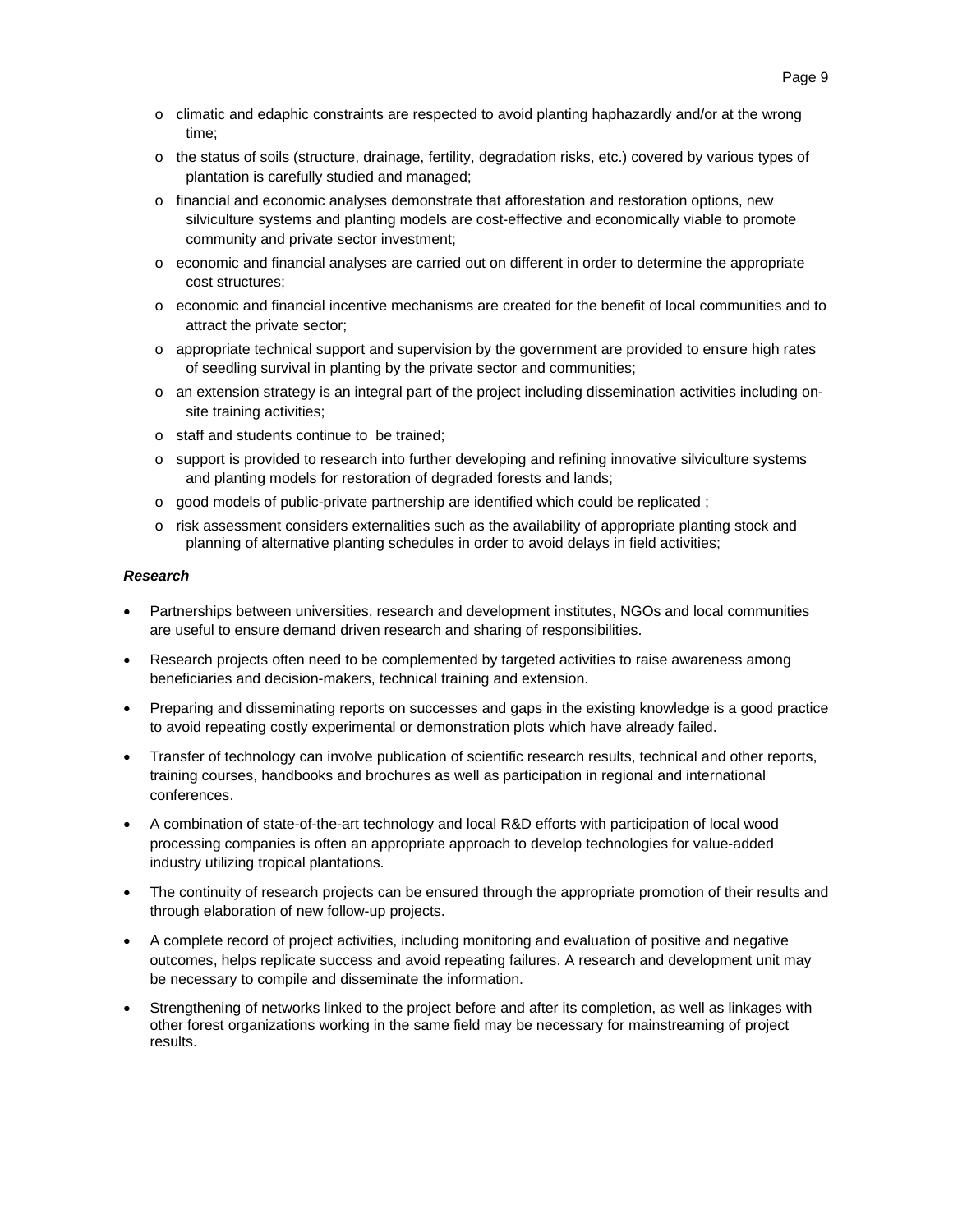- $\circ$  climatic and edaphic constraints are respected to avoid planting haphazardly and/or at the wrong time;
- o the status of soils (structure, drainage, fertility, degradation risks, etc.) covered by various types of plantation is carefully studied and managed;
- o financial and economic analyses demonstrate that afforestation and restoration options, new silviculture systems and planting models are cost-effective and economically viable to promote community and private sector investment;
- o economic and financial analyses are carried out on different in order to determine the appropriate cost structures;
- o economic and financial incentive mechanisms are created for the benefit of local communities and to attract the private sector;
- o appropriate technical support and supervision by the government are provided to ensure high rates of seedling survival in planting by the private sector and communities;
- o an extension strategy is an integral part of the project including dissemination activities including onsite training activities;
- o staff and students continue to be trained;
- o support is provided to research into further developing and refining innovative silviculture systems and planting models for restoration of degraded forests and lands;
- $\circ$  good models of public-private partnership are identified which could be replicated ;
- o risk assessment considers externalities such as the availability of appropriate planting stock and planning of alternative planting schedules in order to avoid delays in field activities;

#### *Research*

- Partnerships between universities, research and development institutes, NGOs and local communities are useful to ensure demand driven research and sharing of responsibilities.
- Research projects often need to be complemented by targeted activities to raise awareness among beneficiaries and decision-makers, technical training and extension.
- Preparing and disseminating reports on successes and gaps in the existing knowledge is a good practice to avoid repeating costly experimental or demonstration plots which have already failed.
- Transfer of technology can involve publication of scientific research results, technical and other reports, training courses, handbooks and brochures as well as participation in regional and international conferences.
- A combination of state-of-the-art technology and local R&D efforts with participation of local wood processing companies is often an appropriate approach to develop technologies for value-added industry utilizing tropical plantations.
- The continuity of research projects can be ensured through the appropriate promotion of their results and through elaboration of new follow-up projects.
- A complete record of project activities, including monitoring and evaluation of positive and negative outcomes, helps replicate success and avoid repeating failures. A research and development unit may be necessary to compile and disseminate the information.
- Strengthening of networks linked to the project before and after its completion, as well as linkages with other forest organizations working in the same field may be necessary for mainstreaming of project results.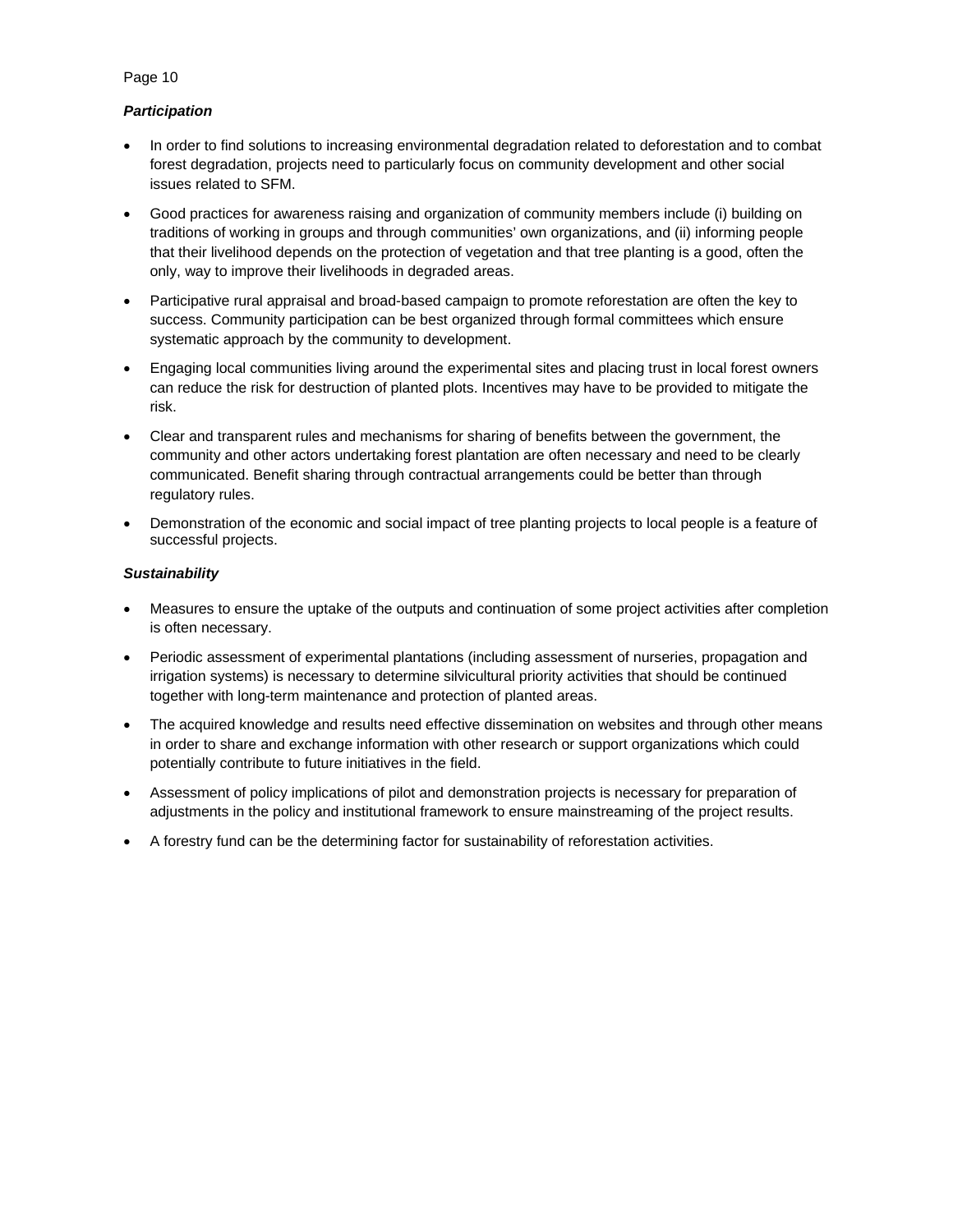# *Participation*

- In order to find solutions to increasing environmental degradation related to deforestation and to combat forest degradation, projects need to particularly focus on community development and other social issues related to SFM.
- Good practices for awareness raising and organization of community members include (i) building on traditions of working in groups and through communities' own organizations, and (ii) informing people that their livelihood depends on the protection of vegetation and that tree planting is a good, often the only, way to improve their livelihoods in degraded areas.
- Participative rural appraisal and broad-based campaign to promote reforestation are often the key to success. Community participation can be best organized through formal committees which ensure systematic approach by the community to development.
- Engaging local communities living around the experimental sites and placing trust in local forest owners can reduce the risk for destruction of planted plots. Incentives may have to be provided to mitigate the risk.
- Clear and transparent rules and mechanisms for sharing of benefits between the government, the community and other actors undertaking forest plantation are often necessary and need to be clearly communicated. Benefit sharing through contractual arrangements could be better than through regulatory rules.
- Demonstration of the economic and social impact of tree planting projects to local people is a feature of successful projects.

## *Sustainability*

- Measures to ensure the uptake of the outputs and continuation of some project activities after completion is often necessary.
- Periodic assessment of experimental plantations (including assessment of nurseries, propagation and irrigation systems) is necessary to determine silvicultural priority activities that should be continued together with long-term maintenance and protection of planted areas.
- The acquired knowledge and results need effective dissemination on websites and through other means in order to share and exchange information with other research or support organizations which could potentially contribute to future initiatives in the field.
- Assessment of policy implications of pilot and demonstration projects is necessary for preparation of adjustments in the policy and institutional framework to ensure mainstreaming of the project results.
- A forestry fund can be the determining factor for sustainability of reforestation activities.

### Page 10